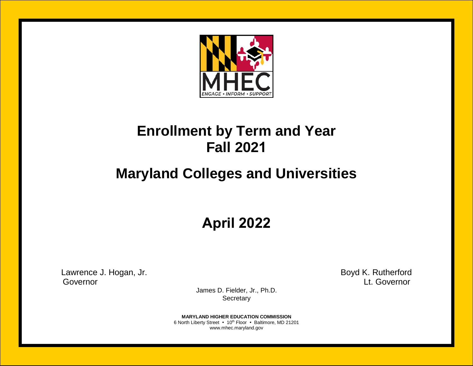

## **Enrollment by Term and Year Fall 2021**

# **Maryland Colleges and Universities**

**April 2022**

Lawrence J. Hogan, Jr. **Boyd K. Rutherford** Governor Lt. Governor

James D. Fielder, Jr., Ph.D. **Secretary** 

**MARYLAND HIGHER EDUCATION COMMISSION** 6 North Liberty Street • 10<sup>th</sup> Floor • Baltimore, MD 21201 www.mhec.maryland.gov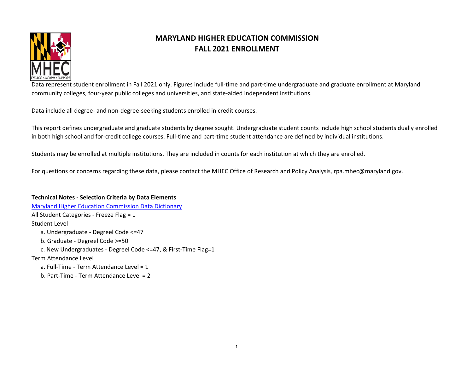

#### **MARYLAND HIGHER EDUCATION COMMISSION FALL 2021 ENROLLMENT**

Data represent student enrollment in Fall 2021 only. Figures include full-time and part-time undergraduate and graduate enrollment at Maryland community colleges, four-year public colleges and universities, and state-aided independent institutions.

Data include all degree- and non-degree-seeking students enrolled in credit courses.

This report defines undergraduate and graduate students by degree sought. Undergraduate student counts include high school students dually enrolled in both high school and for-credit college courses. Full-time and part-time student attendance are defined by individual institutions.

Students may be enrolled at multiple institutions. They are included in counts for each institution at which they are enrolled.

For questions or concerns regarding these data, please contact the MHEC Office of Research and Policy Analysis, rpa.mhec@maryland.gov.

#### **Technical Notes - Selection Criteria by Data Elements**

[Maryland Higher Education Commission Data Dictionary](https://community.datacookbook.com/institutions/mhec) All Student Categories - Freeze Flag = 1 Student Level a. Undergraduate - Degreel Code <=47 b. Graduate - Degreel Code >=50 c. New Undergraduates - Degreel Code <=47, & First-Time Flag=1 Term Attendance Level a. Full-Time - Term Attendance Level = 1 b. Part-Time - Term Attendance Level = 2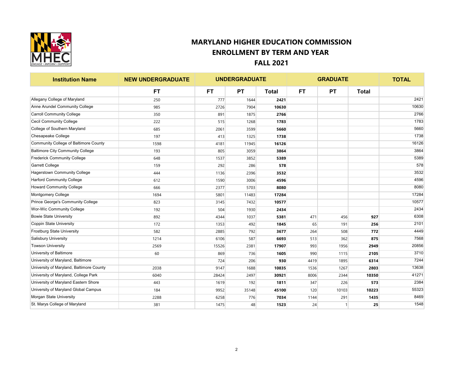

| <b>Institution Name</b>                  | <b>NEW UNDERGRADUATE</b> |       | <b>UNDERGRADUATE</b> |              | <b>GRADUATE</b> |           |              | <b>TOTAL</b> |
|------------------------------------------|--------------------------|-------|----------------------|--------------|-----------------|-----------|--------------|--------------|
|                                          | <b>FT</b>                | FT.   | <b>PT</b>            | <b>Total</b> | <b>FT</b>       | <b>PT</b> | <b>Total</b> |              |
| Allegany College of Maryland             | 250                      | 777   | 1644                 | 2421         |                 |           |              | 2421         |
| Anne Arundel Community College           | 985                      | 2726  | 7904                 | 10630        |                 |           |              | 10630        |
| <b>Carroll Community College</b>         | 350                      | 891   | 1875                 | 2766         |                 |           |              | 2766         |
| <b>Cecil Community College</b>           | 222                      | 515   | 1268                 | 1783         |                 |           |              | 1783         |
| College of Southern Maryland             | 685                      | 2061  | 3599                 | 5660         |                 |           |              | 5660         |
| Chesapeake College                       | 197                      | 413   | 1325                 | 1738         |                 |           |              | 1738         |
| Community College of Baltimore County    | 1598                     | 4181  | 11945                | 16126        |                 |           |              | 16126        |
| <b>Baltimore City Community College</b>  | 193                      | 805   | 3059                 | 3864         |                 |           |              | 3864         |
| <b>Frederick Community College</b>       | 648                      | 1537  | 3852                 | 5389         |                 |           |              | 5389         |
| <b>Garrett College</b>                   | 159                      | 292   | 286                  | 578          |                 |           |              | 578          |
| Hagerstown Community College             | 444                      | 1136  | 2396                 | 3532         |                 |           |              | 3532         |
| <b>Harford Community College</b>         | 612                      | 1590  | 3006                 | 4596         |                 |           |              | 4596         |
| <b>Howard Community College</b>          | 666                      | 2377  | 5703                 | 8080         |                 |           |              | 8080         |
| Montgomery College                       | 1694                     | 5801  | 11483                | 17284        |                 |           |              | 17284        |
| Prince George's Community College        | 823                      | 3145  | 7432                 | 10577        |                 |           |              | 10577        |
| <b>Wor-Wic Community College</b>         | 192                      | 504   | 1930                 | 2434         |                 |           |              | 2434         |
| <b>Bowie State University</b>            | 892                      | 4344  | 1037                 | 5381         | 471             | 456       | 927          | 6308         |
| <b>Coppin State University</b>           | 172                      | 1353  | 492                  | 1845         | 65              | 191       | 256          | 2101         |
| <b>Frostburg State University</b>        | 582                      | 2885  | 792                  | 3677         | 264             | 508       | 772          | 4449         |
| <b>Salisbury University</b>              | 1214                     | 6106  | 587                  | 6693         | 513             | 362       | 875          | 7568         |
| <b>Towson University</b>                 | 2569                     | 15526 | 2381                 | 17907        | 993             | 1956      | 2949         | 20856        |
| University of Baltimore                  | 60                       | 869   | 736                  | 1605         | 990             | 1115      | 2105         | 3710         |
| University of Maryland, Baltimore        |                          | 724   | 206                  | 930          | 4419            | 1895      | 6314         | 7244         |
| University of Maryland, Baltimore County | 2038                     | 9147  | 1688                 | 10835        | 1536            | 1267      | 2803         | 13638        |
| University of Maryland, College Park     | 6040                     | 28424 | 2497                 | 30921        | 8006            | 2344      | 10350        | 41271        |
| University of Maryland Eastern Shore     | 443                      | 1619  | 192                  | 1811         | 347             | 226       | 573          | 2384         |
| University of Maryland Global Campus     | 184                      | 9952  | 35148                | 45100        | 120             | 10103     | 10223        | 55323        |
| Morgan State University                  | 2288                     | 6258  | 776                  | 7034         | 1144            | 291       | 1435         | 8469         |
| St. Marys College of Maryland            | 381                      | 1475  | 48                   | 1523         | 24              |           | 25           | 1548         |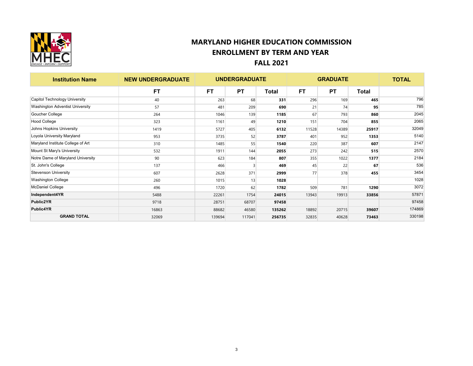

| <b>Institution Name</b>           | <b>NEW UNDERGRADUATE</b> |           | <b>UNDERGRADUATE</b> |              | <b>GRADUATE</b> |           |              | <b>TOTAL</b> |
|-----------------------------------|--------------------------|-----------|----------------------|--------------|-----------------|-----------|--------------|--------------|
|                                   | <b>FT</b>                | <b>FT</b> | <b>PT</b>            | <b>Total</b> | <b>FT</b>       | <b>PT</b> | <b>Total</b> |              |
| Capitol Technology University     | 40                       | 263       | 68                   | 331          | 296             | 169       | 465          | 796          |
| Washington Adventist University   | 57                       | 481       | 209                  | 690          | 21              | 74        | 95           | 785          |
| Goucher College                   | 264                      | 1046      | 139                  | 1185         | 67              | 793       | 860          | 2045         |
| <b>Hood College</b>               | 323                      | 1161      | 49                   | 1210         | 151             | 704       | 855          | 2065         |
| Johns Hopkins University          | 1419                     | 5727      | 405                  | 6132         | 11528           | 14389     | 25917        | 32049        |
| Loyola University Maryland        | 953                      | 3735      | 52                   | 3787         | 401             | 952       | 1353         | 5140         |
| Maryland Institute College of Art | 310                      | 1485      | 55                   | 1540         | 220             | 387       | 607          | 2147         |
| Mount St Mary's University        | 532                      | 1911      | 144                  | 2055         | 273             | 242       | 515          | 2570         |
| Notre Dame of Maryland University | 90                       | 623       | 184                  | 807          | 355             | 1022      | 1377         | 2184         |
| St. John's College                | 137                      | 466       | 3                    | 469          | 45              | 22        | 67           | 536          |
| <b>Stevenson University</b>       | 607                      | 2628      | 371                  | 2999         | 77              | 378       | 455          | 3454         |
| <b>Washington College</b>         | 260                      | 1015      | 13                   | 1028         |                 |           |              | 1028         |
| <b>McDaniel College</b>           | 496                      | 1720      | 62                   | 1782         | 509             | 781       | 1290         | 3072         |
| Independent4YR                    | 5488                     | 22261     | 1754                 | 24015        | 13943           | 19913     | 33856        | 57871        |
| Public2YR                         | 9718                     | 28751     | 68707                | 97458        |                 |           |              | 97458        |
| <b>Public4YR</b>                  | 16863                    | 88682     | 46580                | 135262       | 18892           | 20715     | 39607        | 174869       |
| <b>GRAND TOTAL</b>                | 32069                    | 139694    | 117041               | 256735       | 32835           | 40628     | 73463        | 330198       |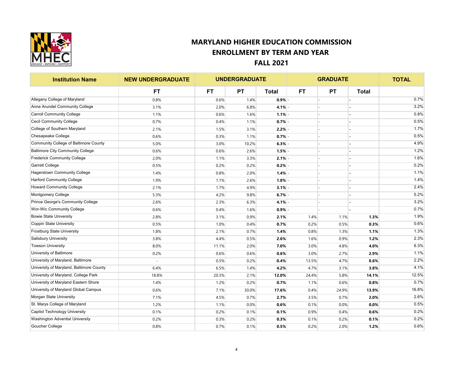

| <b>Institution Name</b>                  | <b>NEW UNDERGRADUATE</b> |           | <b>UNDERGRADUATE</b> |              | <b>GRADUATE</b> |           |              | <b>TOTAL</b> |
|------------------------------------------|--------------------------|-----------|----------------------|--------------|-----------------|-----------|--------------|--------------|
|                                          | <b>FT</b>                | <b>FT</b> | <b>PT</b>            | <b>Total</b> | <b>FT</b>       | <b>PT</b> | <b>Total</b> |              |
| Allegany College of Maryland             | 0.8%                     | 0.6%      | 1.4%                 | 0.9%         |                 |           |              | 0.7%         |
| Anne Arundel Community College           | 3.1%                     | 2.0%      | 6.8%                 | 4.1%         |                 |           |              | 3.2%         |
| <b>Carroll Community College</b>         | 1.1%                     | 0.6%      | 1.6%                 | 1.1%         |                 |           |              | 0.8%         |
| <b>Cecil Community College</b>           | 0.7%                     | 0.4%      | 1.1%                 | 0.7%         |                 |           |              | 0.5%         |
| College of Southern Maryland             | 2.1%                     | 1.5%      | 3.1%                 | 2.2%         |                 |           |              | 1.7%         |
| Chesapeake College                       | 0.6%                     | 0.3%      | 1.1%                 | 0.7%         |                 |           |              | 0.5%         |
| Community College of Baltimore County    | 5.0%                     | 3.0%      | 10.2%                | 6.3%         |                 |           |              | 4.9%         |
| <b>Baltimore City Community College</b>  | 0.6%                     | 0.6%      | 2.6%                 | 1.5%         |                 |           |              | 1.2%         |
| <b>Frederick Community College</b>       | 2.0%                     | 1.1%      | 3.3%                 | 2.1%         |                 |           |              | 1.6%         |
| <b>Garrett College</b>                   | 0.5%                     | 0.2%      | 0.2%                 | 0.2%         |                 |           |              | 0.2%         |
| <b>Hagerstown Community College</b>      | 1.4%                     | 0.8%      | 2.0%                 | 1.4%         |                 |           |              | 1.1%         |
| <b>Harford Community College</b>         | 1.9%                     | 1.1%      | 2.6%                 | 1.8%         |                 |           |              | 1.4%         |
| <b>Howard Community College</b>          | 2.1%                     | 1.7%      | 4.9%                 | 3.1%         |                 |           |              | 2.4%         |
| Montgomery College                       | 5.3%                     | 4.2%      | 9.8%                 | 6.7%         |                 |           |              | 5.2%         |
| Prince George's Community College        | 2.6%                     | 2.3%      | 6.3%                 | 4.1%         |                 |           |              | 3.2%         |
| <b>Wor-Wic Community College</b>         | 0.6%                     | 0.4%      | 1.6%                 | 0.9%         |                 |           |              | 0.7%         |
| <b>Bowie State University</b>            | 2.8%                     | 3.1%      | 0.9%                 | 2.1%         | 1.4%            | 1.1%      | 1.3%         | 1.9%         |
| Coppin State University                  | 0.5%                     | 1.0%      | 0.4%                 | 0.7%         | 0.2%            | 0.5%      | 0.3%         | 0.6%         |
| <b>Frostburg State University</b>        | 1.8%                     | 2.1%      | 0.7%                 | 1.4%         | 0.8%            | 1.3%      | 1.1%         | 1.3%         |
| <b>Salisbury University</b>              | 3.8%                     | 4.4%      | 0.5%                 | 2.6%         | 1.6%            | 0.9%      | 1.2%         | 2.3%         |
| <b>Towson University</b>                 | 8.0%                     | 11.1%     | 2.0%                 | 7.0%         | 3.0%            | 4.8%      | 4.0%         | 6.3%         |
| University of Baltimore                  | 0.2%                     | 0.6%      | 0.6%                 | 0.6%         | 3.0%            | 2.7%      | 2.9%         | 1.1%         |
| University of Maryland, Baltimore        |                          | 0.5%      | 0.2%                 | 0.4%         | 13.5%           | 4.7%      | 8.6%         | 2.2%         |
| University of Maryland, Baltimore County | 6.4%                     | 6.5%      | 1.4%                 | 4.2%         | 4.7%            | 3.1%      | 3.8%         | 4.1%         |
| University of Maryland, College Park     | 18.8%                    | 20.3%     | 2.1%                 | 12.0%        | 24.4%           | 5.8%      | 14.1%        | 12.5%        |
| University of Maryland Eastern Shore     | 1.4%                     | 1.2%      | 0.2%                 | 0.7%         | 1.1%            | 0.6%      | 0.8%         | 0.7%         |
| University of Maryland Global Campus     | 0.6%                     | 7.1%      | 30.0%                | 17.6%        | 0.4%            | 24.9%     | 13.9%        | 16.8%        |
| Morgan State University                  | 7.1%                     | 4.5%      | 0.7%                 | 2.7%         | 3.5%            | 0.7%      | 2.0%         | 2.6%         |
| St. Marys College of Maryland            | 1.2%                     | 1.1%      | 0.0%                 | 0.6%         | 0.1%            | 0.0%      | 0.0%         | 0.5%         |
| Capitol Technology University            | 0.1%                     | 0.2%      | 0.1%                 | 0.1%         | 0.9%            | 0.4%      | 0.6%         | 0.2%         |
| Washington Adventist University          | 0.2%                     | 0.3%      | 0.2%                 | 0.3%         | 0.1%            | 0.2%      | 0.1%         | 0.2%         |
| Goucher College                          | 0.8%                     | 0.7%      | 0.1%                 | 0.5%         | 0.2%            | 2.0%      | 1.2%         | 0.6%         |